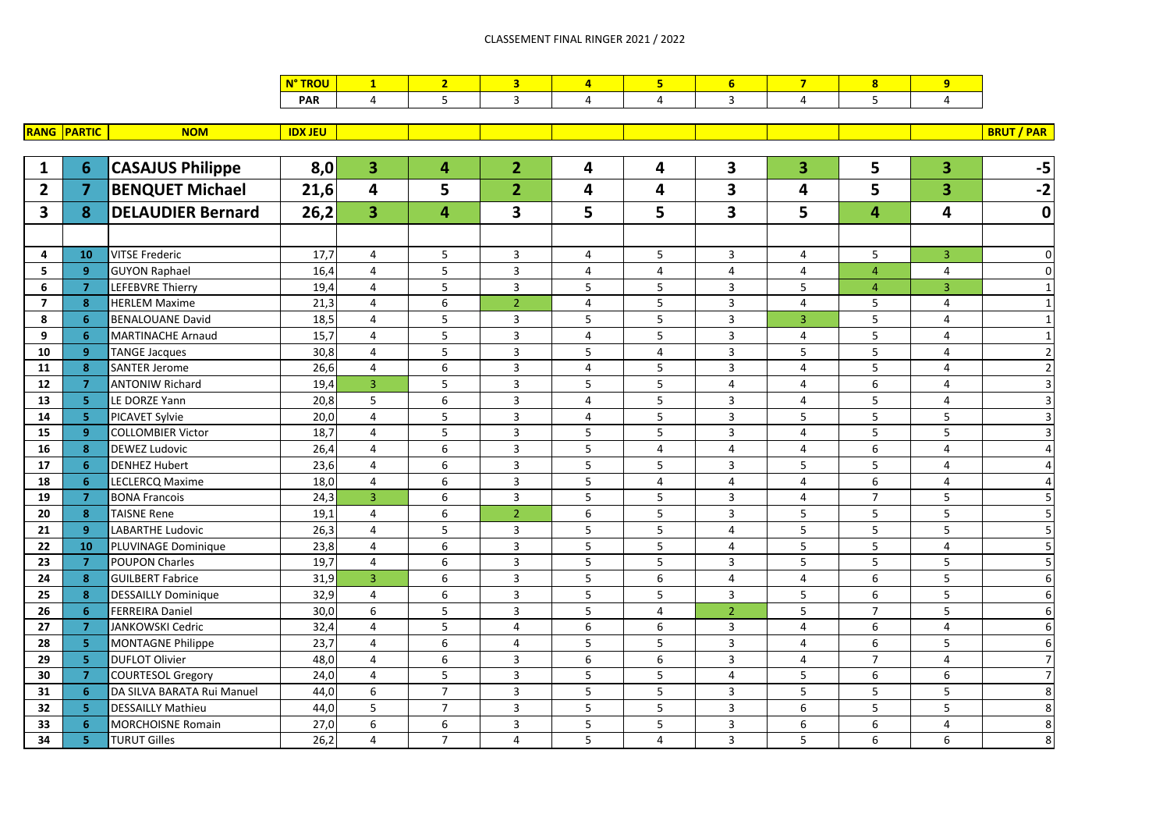## CLASSEMENT FINAL RINGER 2021 / 2022

| 'N            |  |  |  |  |  |
|---------------|--|--|--|--|--|
| n a n<br>7AR. |  |  |  |  |  |

|                | <b>RANG PARTIC</b> | <b>NOM</b>                 | <b>IDX JEU</b> |                         |                  |                |                |                         |                         |                |                |                | <b>BRUT / PAR</b> |
|----------------|--------------------|----------------------------|----------------|-------------------------|------------------|----------------|----------------|-------------------------|-------------------------|----------------|----------------|----------------|-------------------|
|                |                    |                            |                |                         |                  |                |                |                         |                         |                |                |                |                   |
| 1              | 6                  | <b>CASAJUS Philippe</b>    | 8,0            | 3                       | 4                | $\overline{2}$ | 4              | 4                       | 3                       | 3              | 5              | 3              | $-5$              |
| $\overline{2}$ | 7                  | <b>BENQUET Michael</b>     | 21,6           | $\overline{\mathbf{4}}$ | 5                | $\overline{2}$ | 4              | 4                       | 3                       | 4              | 5              | 3              | $-2$              |
| 3              | 8                  | <b>DELAUDIER Bernard</b>   | 26,2           | $\overline{\mathbf{3}}$ | 4                | 3              | 5              | 5                       | 3                       | 5              | $\overline{4}$ | 4              | $\mathbf 0$       |
|                |                    |                            |                |                         |                  |                |                |                         |                         |                |                |                |                   |
|                |                    |                            |                |                         |                  |                |                |                         |                         |                |                |                |                   |
| 4              | 10                 | <b>VITSE Frederic</b>      | 17,7           | 4                       | 5                | 3              | 4              | 5                       | 3                       | 4              | 5              | $\overline{3}$ |                   |
| 5              | 9 <sup>°</sup>     | <b>GUYON Raphael</b>       | 16,4           | $\overline{4}$          | $\overline{5}$   | $\overline{3}$ | $\overline{4}$ | $\overline{4}$          | $\overline{4}$          | $\overline{4}$ | $\overline{4}$ | $\overline{4}$ |                   |
| 6              | $\overline{7}$     | <b>LEFEBVRE Thierry</b>    | 19,4           | $\overline{4}$          | 5                | $\overline{3}$ | 5              | 5                       | $\overline{3}$          | 5              | $\overline{4}$ | $\overline{3}$ |                   |
| $\overline{7}$ | 8                  | <b>HERLEM Maxime</b>       | 21,3           | $\overline{4}$          | $\boldsymbol{6}$ | $\overline{2}$ | $\overline{4}$ | 5                       | $\overline{3}$          | $\overline{4}$ | 5              | $\overline{4}$ |                   |
| 8              | 6                  | <b>BENALOUANE David</b>    | 18,5           | $\overline{4}$          | 5                | $\overline{3}$ | 5              | 5                       | $\overline{3}$          | $\overline{3}$ | 5              | $\overline{4}$ |                   |
| 9              | 6                  | <b>MARTINACHE Arnaud</b>   | 15,7           | $\overline{4}$          | 5                | 3              | $\overline{4}$ | 5                       | $\overline{3}$          | $\overline{4}$ | 5              | $\overline{4}$ |                   |
| 10             | 9 <sup>°</sup>     | <b>TANGE Jacques</b>       | 30,8           | $\overline{4}$          | 5                | $\overline{3}$ | 5              | $\overline{\mathbf{4}}$ | $\overline{3}$          | 5              | 5              | $\overline{4}$ |                   |
| 11             | 8                  | <b>SANTER Jerome</b>       | 26,6           | $\overline{4}$          | 6                | $\overline{3}$ | $\overline{4}$ | 5                       | $\overline{3}$          | 4              | 5              | $\overline{4}$ |                   |
| 12             | $\overline{7}$     | <b>ANTONIW Richard</b>     | 19,4           | $\overline{3}$          | 5                | $\overline{3}$ | 5              | 5                       | $\overline{4}$          | 4              | 6              | $\overline{4}$ |                   |
| 13             | 5.                 | LE DORZE Yann              | 20,8           | 5                       | $\boldsymbol{6}$ | 3              | $\overline{4}$ | 5                       | $\overline{3}$          | $\overline{4}$ | 5              | $\overline{4}$ |                   |
| 14             | 5.                 | PICAVET Sylvie             | 20,0           | $\overline{4}$          | 5                | 3              | $\overline{4}$ | 5                       | $\overline{3}$          | 5              | 5              | 5              |                   |
| 15             | 9                  | <b>COLLOMBIER Victor</b>   | 18,7           | $\overline{4}$          | 5                | $\overline{3}$ | 5              | 5                       | $\overline{3}$          | $\overline{4}$ | 5              | 5              |                   |
| 16             | 8 <sup>°</sup>     | <b>DEWEZ Ludovic</b>       | 26,4           | $\overline{4}$          | 6                | $\overline{3}$ | 5              | $\overline{4}$          | $\overline{4}$          | $\overline{4}$ | 6              | $\overline{4}$ |                   |
| 17             | 6 <sup>1</sup>     | <b>DENHEZ Hubert</b>       | 23,6           | $\overline{4}$          | $\boldsymbol{6}$ | $\overline{3}$ | 5              | 5                       | $\overline{3}$          | 5              | 5              | $\overline{4}$ |                   |
| 18             | 6                  | LECLERCQ Maxime            | 18,0           | $\overline{4}$          | 6                | $\overline{3}$ | 5              | $\overline{4}$          | $\overline{4}$          | $\overline{4}$ | 6              | $\overline{4}$ |                   |
| 19             | $\overline{7}$     | <b>BONA Francois</b>       | 24,3           | $\overline{3}$          | 6                | 3              | 5              | 5                       | $\overline{3}$          | $\overline{4}$ | $\overline{7}$ | 5              |                   |
| 20             | 8 <sup>°</sup>     | <b>TAISNE Rene</b>         | 19,1           | $\overline{4}$          | 6                | $\overline{2}$ | 6              | 5                       | $\overline{3}$          | 5              | 5              | 5              |                   |
| 21             | 9                  | <b>LABARTHE Ludovic</b>    | 26,3           | $\overline{4}$          | 5                | $\overline{3}$ | 5              | 5                       | $\overline{4}$          | 5              | 5              | 5              |                   |
| 22             | 10                 | <b>PLUVINAGE Dominique</b> | 23,8           | $\overline{4}$          | 6                | $\overline{3}$ | 5              | 5                       | $\overline{4}$          | 5              | 5              | $\overline{4}$ |                   |
| 23             | $\overline{7}$     | <b>POUPON Charles</b>      | 19,7           | $\overline{4}$          | 6                | $\overline{3}$ | 5              | 5                       | 3                       | 5              | 5              | 5              |                   |
| 24             | 8 <sup>°</sup>     | <b>GUILBERT Fabrice</b>    | 31,9           | $\overline{3}$          | 6                | $\overline{3}$ | 5              | 6                       | $\overline{\mathbf{4}}$ | $\overline{4}$ | 6              | 5              |                   |
| 25             | 8                  | <b>DESSAILLY Dominique</b> | 32,9           | 4                       | 6                | $\overline{3}$ | 5              | 5                       | 3                       | 5              | 6              | 5              |                   |
| 26             | 6                  | <b>FERREIRA Daniel</b>     | 30,0           | 6                       | 5                | $\overline{3}$ | 5              | $\overline{4}$          | $\overline{2}$          | 5              | $\overline{7}$ | 5              |                   |
| 27             | $\overline{7}$     | <b>JANKOWSKI Cedric</b>    | 32,4           | 4                       | 5                | $\overline{4}$ | 6              | 6                       | $\overline{3}$          | 4              | 6              | $\overline{4}$ |                   |
| 28             | 5.                 | <b>MONTAGNE Philippe</b>   | 23,7           | $\overline{4}$          | $\boldsymbol{6}$ | 4              | 5              | 5                       | $\overline{3}$          | $\overline{4}$ | 6              | 5              |                   |
| 29             | 5 <sup>1</sup>     | <b>DUFLOT Olivier</b>      | 48,0           | $\overline{4}$          | 6                | 3              | 6              | 6                       | $\overline{3}$          | 4              | $\overline{7}$ | $\overline{4}$ |                   |
| 30             | $\overline{7}$     | <b>COURTESOL Gregory</b>   | 24,0           | $\overline{4}$          | 5                | $\overline{3}$ | 5              | 5                       | $\overline{4}$          | 5              | 6              | 6              |                   |
| 31             | 6                  | DA SILVA BARATA Rui Manuel | 44,0           | 6                       | $\overline{7}$   | $\overline{3}$ | $\overline{5}$ | $\overline{5}$          | $\overline{3}$          | $\overline{5}$ | 5              | 5              | 8                 |
|                |                    |                            |                |                         | $\overline{7}$   |                |                |                         |                         |                |                |                |                   |
| 32             | 5.                 | <b>DESSAILLY Mathieu</b>   | 44,0           | 5                       |                  | 3              | 5              | 5                       | 3                       | 6              | 5              | 5              | 8                 |
| 33             | 6                  | <b>MORCHOISNE Romain</b>   | 27,0           | 6                       | 6                | $\overline{3}$ | 5              | 5                       | $\overline{3}$          | 6              | 6              | $\overline{4}$ | 8                 |
| 34             | 5.                 | <b>TURUT Gilles</b>        | 26,2           | $\overline{4}$          | $\overline{7}$   | $\overline{4}$ | 5              | $\overline{4}$          | $\overline{3}$          | 5              | 6              | 6              | 8                 |